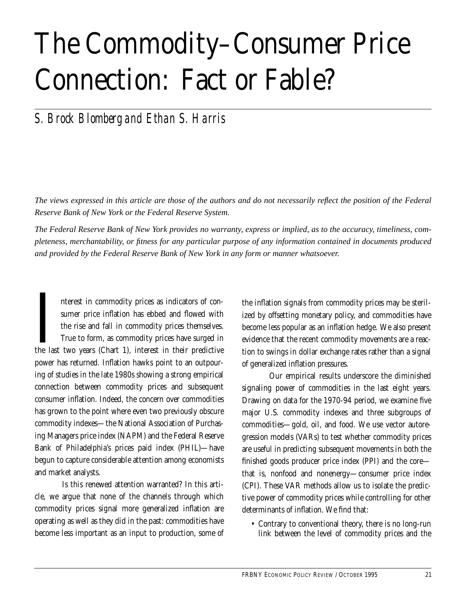# The Commodity–Consumer Price Connection: Fact or Fable?

## *S. Brock Blomberg and Ethan S. Harris*

*The views expressed in this article are those of the authors and do not necessarily reflect the position of the Federal Reserve Bank of New York or the Federal Reserve System.*

*The Federal Reserve Bank of New York provides no warranty, express or implied, as to the accuracy, timeliness, completeness, merchantability, or fitness for any particular purpose of any information contained in documents produced and provided by the Federal Reserve Bank of New York in any form or manner whatsoever.*

nterest in commodity prices as indicators of consumer price inflation has ebbed and flowed with the rise and fall in commodity prices themselves. True to form, as commodity prices have surged in nterest in commodity prices as indicators of consumer price inflation has ebbed and flowed with the rise and fall in commodity prices themselves.<br>True to form, as commodity prices have surged in the last two years (Chart 1 power has returned. Inflation hawks point to an outpouring of studies in the late 1980s showing a strong empirical connection between commodity prices and subsequent consumer inflation. Indeed, the concern over commodities has grown to the point where even two previously obscure commodity indexes—the National Association of Purchasing Managers price index (NAPM) and the Federal Reserve Bank of Philadelphia's prices paid index (PHIL)—have begun to capture considerable attention among economists and market analysts.

Is this renewed attention warranted? In this article, we argue that none of the channels through which commodity prices signal more generalized inflation are operating as well as they did in the past: commodities have become less important as an input to production, some of the inflation signals from commodity prices may be sterilized by offsetting monetary policy, and commodities have become less popular as an inflation hedge. We also present evidence that the recent commodity movements are a reaction to swings in dollar exchange rates rather than a signal of generalized inflation pressures.

Our empirical results underscore the diminished signaling power of commodities in the last eight years. Drawing on data for the 1970-94 period, we examine five major U.S. commodity indexes and three subgroups of commodities—gold, oil, and food. We use vector autoregression models (VARs) to test whether commodity prices are useful in predicting subsequent movements in both the finished goods producer price index (PPI) and the core that is, nonfood and nonenergy—consumer price index (CPI). These VAR methods allow us to isolate the predictive power of commodity prices while controlling for other determinants of inflation. We find that:

• Contrary to conventional theory, there is no long-run link between the level of commodity prices and the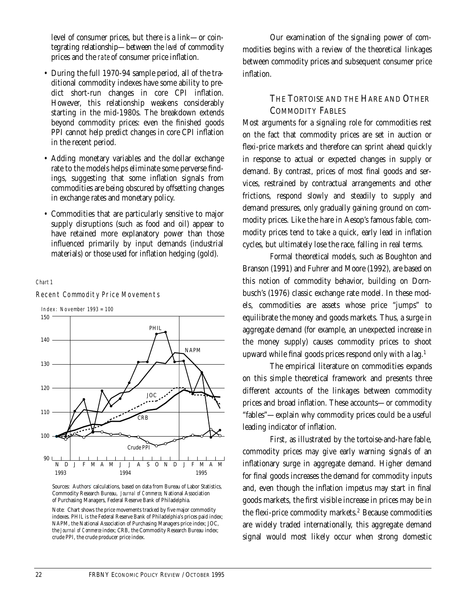level of consumer prices, but there is a link—or cointegrating relationship—between the *level* of commodity prices and the *rate* of consumer price inflation.

- During the full 1970-94 sample period, all of the traditional commodity indexes have some ability to predict short-run changes in core CPI inflation. However, this relationship weakens considerably starting in the mid-1980s. The breakdown extends beyond commodity prices: even the finished goods PPI cannot help predict changes in core CPI inflation in the recent period.
- Adding monetary variables and the dollar exchange rate to the models helps eliminate some perverse findings, suggesting that some inflation signals from commodities are being obscured by offsetting changes in exchange rates and monetary policy.
- Commodities that are particularly sensitive to major supply disruptions (such as food and oil) appear to have retained more explanatory power than those influenced primarily by input demands (industrial materials) or those used for inflation hedging (gold).

#### *Chart 1*



Recent Commodity Price Movements

Sources: Authors' calculations, based on data from Bureau of Labor Statistics, Commodity Research Bureau, *Journal of Commerce,* National Association of Purchasing Managers, Federal Reserve Bank of Philadelphia.

Note: Chart shows the price movements tracked by five major commodity indexes. PHIL is the Federal Reserve Bank of Philadelphia's prices paid index; NAPM, the National Association of Purchasing Managers price index; JOC, the *Journal of Commerce* index; CRB, the Commodity Research Bureau index; crude PPI, the crude producer price index.

Our examination of the signaling power of commodities begins with a review of the theoretical linkages between commodity prices and subsequent consumer price inflation.

### THE TORTOISE AND THE HARE AND OTHER COMMODITY FABLES

Most arguments for a signaling role for commodities rest on the fact that commodity prices are set in auction or flexi-price markets and therefore can sprint ahead quickly in response to actual or expected changes in supply or demand. By contrast, prices of most final goods and services, restrained by contractual arrangements and other frictions, respond slowly and steadily to supply and demand pressures, only gradually gaining ground on commodity prices. Like the hare in Aesop's famous fable, commodity prices tend to take a quick, early lead in inflation cycles, but ultimately lose the race, falling in real terms.

Formal theoretical models, such as Boughton and Branson (1991) and Fuhrer and Moore (1992), are based on this notion of commodity behavior, building on Dornbusch's (1976) classic exchange rate model. In these models, commodities are assets whose price "jumps" to equilibrate the money and goods markets. Thus, a surge in aggregate demand (for example, an unexpected increase in the money supply) causes commodity prices to shoot upward while final goods prices respond only with a lag.<sup>1</sup>

The empirical literature on commodities expands on this simple theoretical framework and presents three different accounts of the linkages between commodity prices and broad inflation. These accounts—or commodity "fables"—explain why commodity prices could be a useful leading indicator of inflation.

First, as illustrated by the tortoise-and-hare fable, commodity prices may give early warning signals of an inflationary surge in aggregate demand. Higher demand for final goods increases the demand for commodity inputs and, even though the inflation impetus may start in final goods markets, the first visible increase in prices may be in the flexi-price commodity markets.<sup>2</sup> Because commodities are widely traded internationally, this aggregate demand signal would most likely occur when strong domestic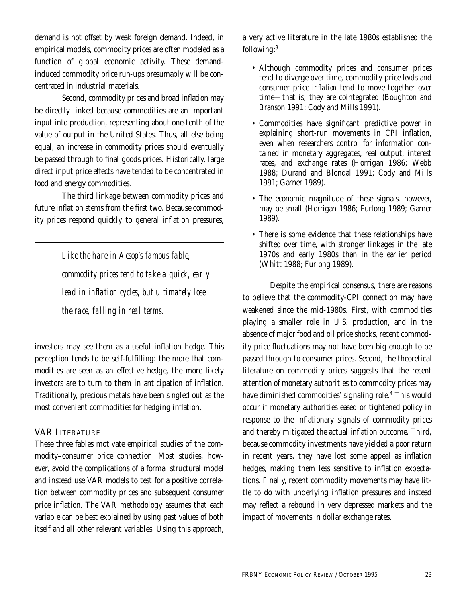demand is not offset by weak foreign demand. Indeed, in empirical models, commodity prices are often modeled as a function of global economic activity. These demandinduced commodity price run-ups presumably will be concentrated in industrial materials.

Second, commodity prices and broad inflation may be directly linked because commodities are an important input into production, representing about one-tenth of the value of output in the United States. Thus, all else being equal, an increase in commodity prices should eventually be passed through to final goods prices. Historically, large direct input price effects have tended to be concentrated in food and energy commodities.

The third linkage between commodity prices and future inflation stems from the first two. Because commodity prices respond quickly to general inflation pressures,

> *Like the hare in Aesop's famous fable, commodity prices tend to take a quick, early lead in inflation cycles, but ultimately lose the race, falling in real terms.*

investors may see them as a useful inflation hedge. This perception tends to be self-fulfilling: the more that commodities are seen as an effective hedge, the more likely investors are to turn to them in anticipation of inflation. Traditionally, precious metals have been singled out as the most convenient commodities for hedging inflation.

### VAR LITERATURE

These three fables motivate empirical studies of the commodity–consumer price connection. Most studies, however, avoid the complications of a formal structural model and instead use VAR models to test for a positive correlation between commodity prices and subsequent consumer price inflation. The VAR methodology assumes that each variable can be best explained by using past values of both itself and all other relevant variables. Using this approach,

a very active literature in the late 1980s established the following:3

- Although commodity prices and consumer prices tend to diverge over time, commodity price *levels* and consumer price *inflation* tend to move together over time—that is, they are cointegrated (Boughton and Branson 1991; Cody and Mills 1991).
- Commodities have significant predictive power in explaining short-run movements in CPI inflation, even when researchers control for information contained in monetary aggregates, real output, interest rates, and exchange rates (Horrigan 1986; Webb 1988; Durand and Blondal 1991; Cody and Mills 1991; Garner 1989).
- The economic magnitude of these signals, however, may be small (Horrigan 1986; Furlong 1989; Garner 1989).
- There is some evidence that these relationships have shifted over time, with stronger linkages in the late 1970s and early 1980s than in the earlier period (Whitt 1988; Furlong 1989).

Despite the empirical consensus, there are reasons to believe that the commodity-CPI connection may have weakened since the mid-1980s. First, with commodities playing a smaller role in U.S. production, and in the absence of major food and oil price shocks, recent commodity price fluctuations may not have been big enough to be passed through to consumer prices. Second, the theoretical literature on commodity prices suggests that the recent attention of monetary authorities to commodity prices may have diminished commodities' signaling role.<sup>4</sup> This would occur if monetary authorities eased or tightened policy in response to the inflationary signals of commodity prices and thereby mitigated the actual inflation outcome. Third, because commodity investments have yielded a poor return in recent years, they have lost some appeal as inflation hedges, making them less sensitive to inflation expectations. Finally, recent commodity movements may have little to do with underlying inflation pressures and instead may reflect a rebound in very depressed markets and the impact of movements in dollar exchange rates.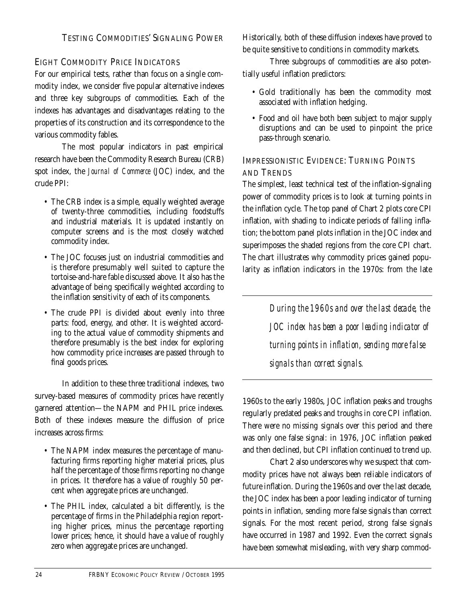## EIGHT COMMODITY PRICE INDICATORS

For our empirical tests, rather than focus on a single commodity index, we consider five popular alternative indexes and three key subgroups of commodities. Each of the indexes has advantages and disadvantages relating to the properties of its construction and its correspondence to the various commodity fables.

The most popular indicators in past empirical research have been the Commodity Research Bureau (CRB) spot index, the *Journal of Commerce* (JOC) index, and the crude PPI:

- The CRB index is a simple, equally weighted average of twenty-three commodities, including foodstuffs and industrial materials. It is updated instantly on computer screens and is the most closely watched commodity index.
- The JOC focuses just on industrial commodities and is therefore presumably well suited to capture the tortoise-and-hare fable discussed above. It also has the advantage of being specifically weighted according to the inflation sensitivity of each of its components.
- The crude PPI is divided about evenly into three parts: food, energy, and other. It is weighted according to the actual value of commodity shipments and therefore presumably is the best index for exploring how commodity price increases are passed through to final goods prices.

In addition to these three traditional indexes, two survey-based measures of commodity prices have recently garnered attention—the NAPM and PHIL price indexes. Both of these indexes measure the diffusion of price increases across firms:

- The NAPM index measures the percentage of manufacturing firms reporting higher material prices, plus half the percentage of those firms reporting no change in prices. It therefore has a value of roughly 50 percent when aggregate prices are unchanged.
- The PHIL index, calculated a bit differently, is the percentage of firms in the Philadelphia region reporting higher prices, minus the percentage reporting lower prices; hence, it should have a value of roughly zero when aggregate prices are unchanged.

Historically, both of these diffusion indexes have proved to be quite sensitive to conditions in commodity markets.

Three subgroups of commodities are also potentially useful inflation predictors:

- Gold traditionally has been the commodity most associated with inflation hedging.
- Food and oil have both been subject to major supply disruptions and can be used to pinpoint the price pass-through scenario.

## IMPRESSIONISTIC EVIDENCE: TURNING POINTS AND TRENDS

The simplest, least technical test of the inflation-signaling power of commodity prices is to look at turning points in the inflation cycle. The top panel of Chart 2 plots core CPI inflation, with shading to indicate periods of falling inflation; the bottom panel plots inflation in the JOC index and superimposes the shaded regions from the core CPI chart. The chart illustrates why commodity prices gained popularity as inflation indicators in the 1970s: from the late

> *During the 1960s and over the last decade, the JOC index has been a poor leading indicator of turning points in inflation, sending more false signals than correct signals.*

1960s to the early 1980s, JOC inflation peaks and troughs regularly predated peaks and troughs in core CPI inflation. There were no missing signals over this period and there was only one false signal: in 1976, JOC inflation peaked and then declined, but CPI inflation continued to trend up.

Chart 2 also underscores why we suspect that commodity prices have not always been reliable indicators of future inflation. During the 1960s and over the last decade, the JOC index has been a poor leading indicator of turning points in inflation, sending more false signals than correct signals. For the most recent period, strong false signals have occurred in 1987 and 1992. Even the correct signals have been somewhat misleading, with very sharp commod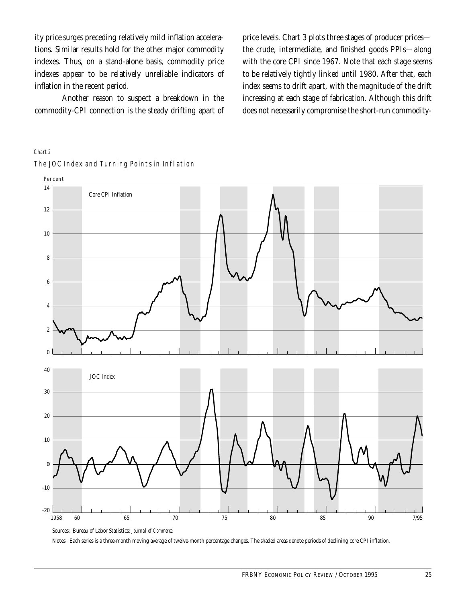ity price surges preceding relatively mild inflation accelerations. Similar results hold for the other major commodity indexes. Thus, on a stand-alone basis, commodity price indexes appear to be relatively unreliable indicators of inflation in the recent period.

Another reason to suspect a breakdown in the commodity-CPI connection is the steady drifting apart of price levels. Chart 3 plots three stages of producer prices the crude, intermediate, and finished goods PPIs—along with the core CPI since 1967. Note that each stage seems to be relatively tightly linked until 1980. After that, each index seems to drift apart, with the magnitude of the drift increasing at each stage of fabrication. Although this drift does not necessarily compromise the short-run commodity-

#### *Chart 2*



The JOC Index and Turning Points in Inflation

Notes: Each series is a three-month moving average of twelve-month percentage changes. The shaded areas denote periods of declining core CPI inflation.

Sources: Bureau of Labor Statistics; *Journal of Commerce*.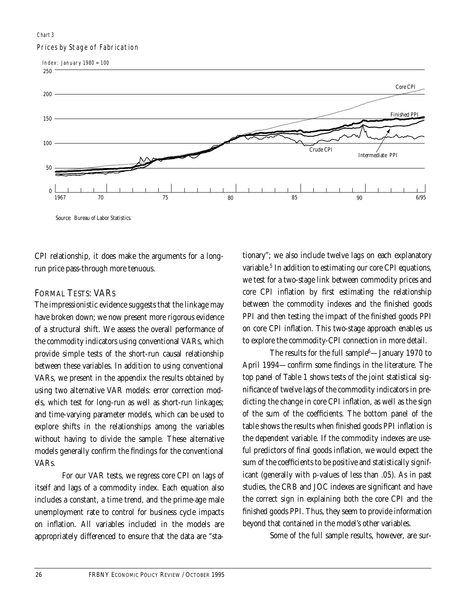#### Prices by Stage of Fabrication *Chart 3*



CPI relationship, it does make the arguments for a longrun price pass-through more tenuous.

## FORMAL TESTS: VARS

The impressionistic evidence suggests that the linkage may have broken down; we now present more rigorous evidence of a structural shift. We assess the overall performance of the commodity indicators using conventional VARs, which provide simple tests of the short-run causal relationship between these variables. In addition to using conventional VARs, we present in the appendix the results obtained by using two alternative VAR models: error correction models, which test for long-run as well as short-run linkages; and time-varying parameter models, which can be used to explore shifts in the relationships among the variables without having to divide the sample. These alternative models generally confirm the findings for the conventional VARs.

For our VAR tests, we regress core CPI on lags of itself and lags of a commodity index. Each equation also includes a constant, a time trend, and the prime-age male unemployment rate to control for business cycle impacts on inflation. All variables included in the models are appropriately differenced to ensure that the data are "stationary"; we also include twelve lags on each explanatory variable.<sup>5</sup> In addition to estimating our core CPI equations, we test for a two-stage link between commodity prices and core CPI inflation by first estimating the relationship between the commodity indexes and the finished goods PPI and then testing the impact of the finished goods PPI on core CPI inflation. This two-stage approach enables us to explore the commodity-CPI connection in more detail.

The results for the full sample<sup>6</sup>—January 1970 to April 1994—confirm some findings in the literature. The top panel of Table 1 shows tests of the joint statistical significance of twelve lags of the commodity indicators in predicting the change in core CPI inflation, as well as the sign of the sum of the coefficients. The bottom panel of the table shows the results when finished goods PPI inflation is the dependent variable. If the commodity indexes are useful predictors of final goods inflation, we would expect the sum of the coefficients to be positive and statistically significant (generally with p-values of less than .05). As in past studies, the CRB and JOC indexes are significant and have the correct sign in explaining both the core CPI and the finished goods PPI. Thus, they seem to provide information beyond that contained in the model's other variables.

Some of the full sample results, however, are sur-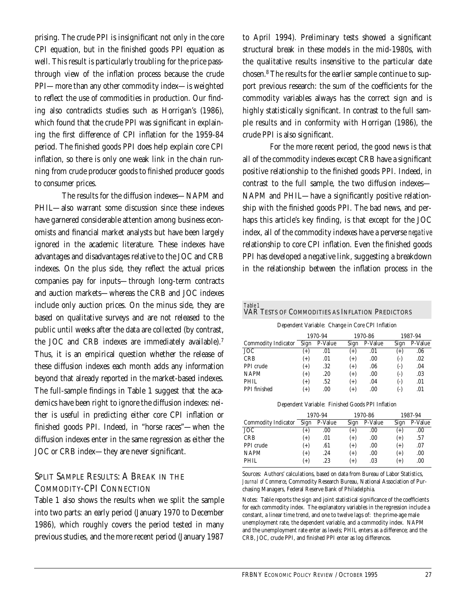prising. The crude PPI is insignificant not only in the core CPI equation, but in the finished goods PPI equation as well. This result is particularly troubling for the price passthrough view of the inflation process because the crude PPI—more than any other commodity index—is weighted to reflect the use of commodities in production. Our finding also contradicts studies such as Horrigan's (1986), which found that the crude PPI was significant in explaining the first difference of CPI inflation for the 1959-84 period. The finished goods PPI does help explain core CPI inflation, so there is only one weak link in the chain running from crude producer goods to finished producer goods to consumer prices.

The results for the diffusion indexes—NAPM and PHIL—also warrant some discussion since these indexes have garnered considerable attention among business economists and financial market analysts but have been largely ignored in the academic literature. These indexes have advantages and disadvantages relative to the JOC and CRB indexes. On the plus side, they reflect the actual prices companies pay for inputs—through long-term contracts and auction markets—whereas the CRB and JOC indexes include only auction prices. On the minus side, they are based on qualitative surveys and are not released to the public until weeks after the data are collected (by contrast, the JOC and CRB indexes are immediately available).7 Thus, it is an empirical question whether the release of these diffusion indexes each month adds any information beyond that already reported in the market-based indexes. The full-sample findings in Table 1 suggest that the academics have been right to ignore the diffusion indexes: neither is useful in predicting either core CPI inflation or finished goods PPI. Indeed, in "horse races"—when the diffusion indexes enter in the same regression as either the JOC or CRB index—they are never significant.

### SPLIT SAMPLE RESULTS: A BREAK IN THE COMMODITY-CPI CONNECTION

Table 1 also shows the results when we split the sample into two parts: an early period (January 1970 to December 1986), which roughly covers the period tested in many previous studies, and the more recent period (January 1987

to April 1994). Preliminary tests showed a significant structural break in these models in the mid-1980s, with the qualitative results insensitive to the particular date chosen.8 The results for the earlier sample continue to support previous research: the sum of the coefficients for the commodity variables always has the correct sign and is highly statistically significant. In contrast to the full sample results and in conformity with Horrigan (1986), the crude PPI is also significant.

For the more recent period, the good news is that all of the commodity indexes except CRB have a significant positive relationship to the finished goods PPI. Indeed, in contrast to the full sample, the two diffusion indexes— NAPM and PHIL—have a significantly positive relationship with the finished goods PPI. The bad news, and perhaps this article's key finding, is that except for the JOC index, all of the commodity indexes have a perverse *negative* relationship to core CPI inflation. Even the finished goods PPI has developed a negative link, suggesting a breakdown in the relationship between the inflation process in the

| Table 1<br>VAR TESTS OF COMMODITIES AS INFLATION PREDICTORS |                               |         |          |         |          |         |  |
|-------------------------------------------------------------|-------------------------------|---------|----------|---------|----------|---------|--|
| Dependent Variable: Change in Core CPI Inflation            |                               |         |          |         |          |         |  |
|                                                             | 1970-94<br>1970-86<br>1987-94 |         |          |         |          |         |  |
| <b>Commodity Indicator</b>                                  | Sign                          | P-Value | Sign     | P-Value | Sign     | P-Value |  |
| JOC                                                         | $(+)$                         | .01     | $(+)$    | .01     | $^{(+)}$ | .06     |  |
| <b>CRB</b>                                                  | $(+)$                         | .01     | $^{(+)}$ | .00.    | $(-)$    | .02     |  |
| PPI crude                                                   | $(+)$                         | .32     | $^{(+)}$ | .06     | $(-)$    | .04     |  |
| <b>NAPM</b>                                                 | $^{(+)}$                      | .20     | $(+)$    | .00.    | $(-)$    | .03     |  |
| PHIL.                                                       | $^{(+)}$                      | .52     | $^{(+)}$ | .04     | $(-)$    | .01     |  |
| PPI finished                                                | $^{(+)}$                      | .00     | $^{(+)}$ | .00     | (-)      | .01     |  |

Dependent Variable: Finished Goods PPI Inflation

|                     | 1970-94  |         | 1970-86  |         | 1987-94  |         |
|---------------------|----------|---------|----------|---------|----------|---------|
| Commodity Indicator | Sign     | P-Value | Sign     | P-Value | Sign     | P-Value |
| <b>JOC</b>          | $^{(+)}$ | .00.    | $^{(+)}$ | .00.    | $(+)$    | .00.    |
| <b>CRB</b>          | $(+)$    | .01     | $^{(+)}$ | .00.    | $^{(+)}$ | .57     |
| PPI crude           | $(+)$    | .61     | $^{(+)}$ | .00.    | $^{(+)}$ | .07     |
| <b>NAPM</b>         | $(+)$    | .24     | $^{(+)}$ | .00.    | $^{(+)}$ | .00     |
| PHIL                | $(+)$    | .23     | $(+)$    | .03     | $^{(+)}$ | .00     |

Sources: Authors' calculations, based on data from Bureau of Labor Statistics, *Journal of Commerce*, Commodity Research Bureau, National Association of Purchasing Managers, Federal Reserve Bank of Philadelphia.

Notes: Table reports the sign and joint statistical significance of the coefficients for each commodity index. The explanatory variables in the regression include a constant, a linear time trend, and one to twelve lags of: the prime-age male unemployment rate, the dependent variable, and a commodity index. NAPM and the unemployment rate enter as levels; PHIL enters as a difference; and the CRB, JOC, crude PPI, and finished PPI enter as log differences.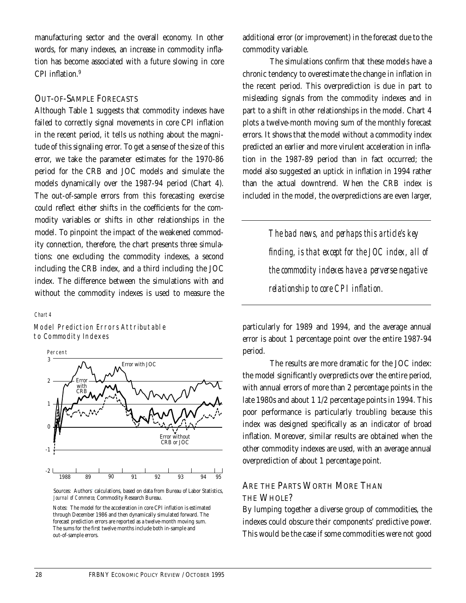manufacturing sector and the overall economy. In other words, for many indexes, an increase in commodity inflation has become associated with a future slowing in core CPI inflation.9

#### OUT-OF-SAMPLE FORECASTS

Although Table 1 suggests that commodity indexes have failed to correctly signal movements in core CPI inflation in the recent period, it tells us nothing about the magnitude of this signaling error. To get a sense of the size of this error, we take the parameter estimates for the 1970-86 period for the CRB and JOC models and simulate the models dynamically over the 1987-94 period (Chart 4). The out-of-sample errors from this forecasting exercise could reflect either shifts in the coefficients for the commodity variables or shifts in other relationships in the model. To pinpoint the impact of the weakened commodity connection, therefore, the chart presents three simulations: one excluding the commodity indexes, a second including the CRB index, and a third including the JOC index. The difference between the simulations with and without the commodity indexes is used to measure the

#### *Chart 4*

Model Prediction Errors Attributable to Commodity Indexes



Sources: Authors' calculations, based on data from Bureau of Labor Statistics, *Journal of Commerce,* Commodity Research Bureau.

Notes: The model for the acceleration in core CPI inflation is estimated through December 1986 and then dynamically simulated forward. The forecast prediction errors are reported as a twelve-month moving sum. The sums for the first twelve months include both in-sample and out-of-sample errors.

additional error (or improvement) in the forecast due to the commodity variable.

The simulations confirm that these models have a chronic tendency to overestimate the change in inflation in the recent period. This overprediction is due in part to misleading signals from the commodity indexes and in part to a shift in other relationships in the model. Chart 4 plots a twelve-month moving sum of the monthly forecast errors. It shows that the model without a commodity index predicted an earlier and more virulent acceleration in inflation in the 1987-89 period than in fact occurred; the model also suggested an uptick in inflation in 1994 rather than the actual downtrend. When the CRB index is included in the model, the overpredictions are even larger,

> *The bad news, and perhaps this article's key finding, is that except for the JOC index, all of the commodity indexes have a pervers*e *negative relationship to core CPI inflation.*

particularly for 1989 and 1994, and the average annual error is about 1 percentage point over the entire 1987-94 period.

The results are more dramatic for the JOC index: the model significantly overpredicts over the entire period, with annual errors of more than 2 percentage points in the late 1980s and about 1 1/2 percentage points in 1994. This poor performance is particularly troubling because this index was designed specifically as an indicator of broad inflation. Moreover, similar results are obtained when the other commodity indexes are used, with an average annual overprediction of about 1 percentage point.

## ARE THE PARTS WORTH MORE THAN THE WHOLE?

By lumping together a diverse group of commodities, the indexes could obscure their components' predictive power. This would be the case if some commodities were not good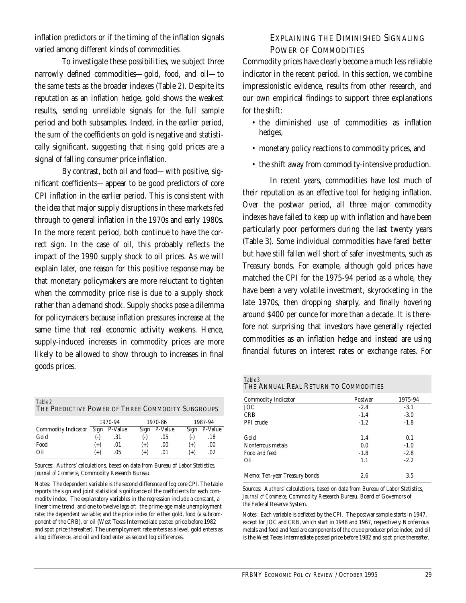inflation predictors or if the timing of the inflation signals varied among different kinds of commodities.

To investigate these possibilities, we subject three narrowly defined commodities—gold, food, and oil—to the same tests as the broader indexes (Table 2). Despite its reputation as an inflation hedge, gold shows the weakest results, sending unreliable signals for the full sample period and both subsamples. Indeed, in the earlier period, the sum of the coefficients on gold is negative and statistically significant, suggesting that rising gold prices are a signal of falling consumer price inflation.

By contrast, both oil and food—with positive, significant coefficients—appear to be good predictors of core CPI inflation in the earlier period. This is consistent with the idea that major supply disruptions in these markets fed through to general inflation in the 1970s and early 1980s. In the more recent period, both continue to have the correct sign. In the case of oil, this probably reflects the impact of the 1990 supply shock to oil prices. As we will explain later, one reason for this positive response may be that monetary policymakers are more reluctant to tighten when the commodity price rise is due to a supply shock rather than a demand shock. Supply shocks pose a dilemma for policymakers because inflation pressures increase at the same time that real economic activity weakens. Hence, supply-induced increases in commodity prices are more likely to be allowed to show through to increases in final goods prices.

*Table 2* THE PREDICTIVE POWER OF THREE COMMODITY SUBGROUPS

|                            | 1970-94  |              | 1970-86  |              | 1987-94  |         |
|----------------------------|----------|--------------|----------|--------------|----------|---------|
| <b>Commodity Indicator</b> |          | Sign P-Value |          | Sign P-Value | Sign     | P-Value |
| Gold                       | $(-)$    | .31          | (-)      | .05          | (-)      | .18     |
| Food                       | $^{(+)}$ | .01          | $^{(+)}$ | .00.         | $^{(+)}$ | .00.    |
| Oil                        | $^{(+)}$ | .05          | $^{(+)}$ | .01          | $(+)$    | .02     |

Sources: Authors' calculations, based on data from Bureau of Labor Statistics, *Journal of Commerce*, Commodity Research Bureau.

Notes: The dependent variable is the second difference of log core CPI. The table reports the sign and joint statistical significance of the coefficients for each commodity index. The explanatory variables in the regression include a constant, a linear time trend, and one to twelve lags of: the prime-age male unemployment rate; the dependent variable; and the price index for either gold, food (a subcomponent of the CRB), or oil (West Texas Intermediate posted price before 1982 and spot price thereafter). The unemployment rate enters as a level, gold enters as a log difference, and oil and food enter as second log differences.

## EXPLAINING THE DIMINISHED SIGNALING POWER OF COMMODITIES

Commodity prices have clearly become a much less reliable indicator in the recent period. In this section, we combine impressionistic evidence, results from other research, and our own empirical findings to support three explanations for the shift:

- the diminished use of commodities as inflation hedges,
- monetary policy reactions to commodity prices, and
- the shift away from commodity-intensive production.

In recent years, commodities have lost much of their reputation as an effective tool for hedging inflation. Over the postwar period, all three major commodity indexes have failed to keep up with inflation and have been particularly poor performers during the last twenty years (Table 3). Some individual commodities have fared better but have still fallen well short of safer investments, such as Treasury bonds. For example, although gold prices have matched the CPI for the 1975-94 period as a whole, they have been a very volatile investment, skyrocketing in the late 1970s, then dropping sharply, and finally hovering around \$400 per ounce for more than a decade. It is therefore not surprising that investors have generally rejected commodities as an inflation hedge and instead are using financial futures on interest rates or exchange rates. For

| Table 3 |                                       |
|---------|---------------------------------------|
|         | THE ANNUAL REAL RETURN TO COMMODITIES |

| Commodity Indicator           | Postwar | 1975-94 |
|-------------------------------|---------|---------|
| JOC                           | $-2.4$  | $-3.1$  |
| <b>CRB</b>                    | $-1.4$  | $-3.0$  |
| PPI crude                     | $-1.2$  | $-1.8$  |
| Gold                          | 1.4     | 0.1     |
| Nonferrous metals             | 0.0     | $-1.0$  |
| Food and feed                 | $-1.8$  | $-2.8$  |
| Oil                           | 1.1     | $-2.2$  |
| Memo: Ten-year Treasury bonds | 2.6     | 3.5     |

Sources: Authors' calculations, based on data from Bureau of Labor Statistics, *Journal of Commerce*, Commodity Research Bureau, Board of Governors of the Federal Reserve System.

Notes: Each variable is deflated by the CPI. The postwar sample starts in 1947, except for JOC and CRB, which start in 1948 and 1967, respectively. Nonferrous metals and food and feed are components of the crude producer price index, and oil is the West Texas Intermediate posted price before 1982 and spot price thereafter.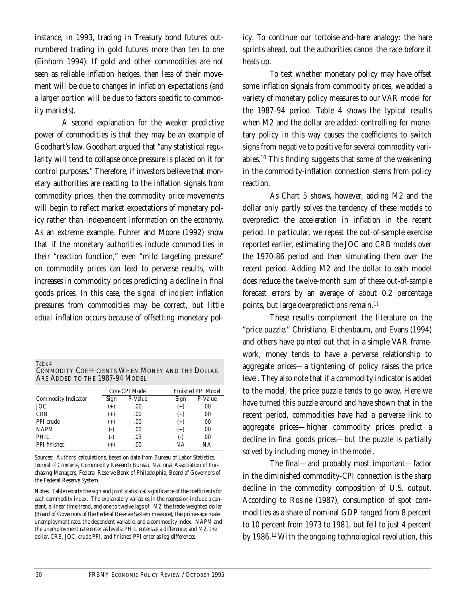instance, in 1993, trading in Treasury bond futures outnumbered trading in gold futures more than ten to one (Einhorn 1994). If gold and other commodities are not seen as reliable inflation hedges, then less of their movement will be due to changes in inflation expectations (and a larger portion will be due to factors specific to commodity markets).

A second explanation for the weaker predictive power of commodities is that they may be an example of Goodhart's law. Goodhart argued that "any statistical regularity will tend to collapse once pressure is placed on it for control purposes." Therefore, if investors believe that monetary authorities are reacting to the inflation signals from commodity prices, then the commodity price movements will begin to reflect market expectations of monetary policy rather than independent information on the economy. As an extreme example, Fuhrer and Moore (1992) show that if the monetary authorities include commodities in their "reaction function," even "mild targeting pressure" on commodity prices can lead to perverse results, with increases in commodity prices predicting a decline in final goods prices. In this case, the signal of *incipient* inflation pressures from commodities may be correct, but little *actual* inflation occurs because of offsetting monetary pol-

| – <i>Lame 4</i>                                  |  |
|--------------------------------------------------|--|
| COMMODITY COEFFICIENTS WHEN MONEY AND THE DOLLAR |  |
| ARE ADDED TO THE 1987-94 MODEL                   |  |

|                     |          | Core CPI Model | <b>Finished PPI Model</b> |  |  |
|---------------------|----------|----------------|---------------------------|--|--|
| Commodity Indicator | Sign     | P-Value        | P-Value<br>Sign           |  |  |
| <b>JOC</b>          | $^{(+)}$ | .00.           | .00<br>$^{(+)}$           |  |  |
| <b>CRB</b>          | $(+)$    | .00.           | $(+)$<br>.00              |  |  |
| PPI crude           | $(+)$    | .00.           | $(+)$<br>.00              |  |  |
| <b>NAPM</b>         | $(-)$    | .00.           | $(+)$<br>.00              |  |  |
| PHIL                | $(-)$    | .03            | .00<br>$(-)$              |  |  |
| PPI finished        | $^{(+)}$ | .00            | NΑ<br>ΝA                  |  |  |

Sources: Authors' calculations, based on data from Bureau of Labor Statistics, *Journal of Commerce*, Commodity Research Bureau, National Association of Purchasing Managers, Federal Reserve Bank of Philadelphia, Board of Governors of the Federal Reserve System.

Notes: Table reports the sign and joint statistical significance of the coefficients for each commodity index. The explanatory variables in the regression include a constant, a linear time trend, and one to twelve lags of: M2, the trade-weighted dollar (Board of Governors of the Federal Reserve System measure), the prime-age male unemployment rate, the dependent variable, and a commodity index. NAPM and the unemployment rate enter as levels; PHIL enters as a difference; and M2, the dollar, CRB, JOC, crude PPI, and finished PPI enter as log differences.

icy. To continue our tortoise-and-hare analogy: the hare sprints ahead, but the authorities cancel the race before it heats up.

To test whether monetary policy may have offset some inflation signals from commodity prices, we added a variety of monetary policy measures to our VAR model for the 1987-94 period. Table 4 shows the typical results when M2 and the dollar are added: controlling for monetary policy in this way causes the coefficients to switch signs from negative to positive for several commodity variables.10 This finding suggests that some of the weakening in the commodity-inflation connection stems from policy reaction.

As Chart 5 shows, however, adding M2 and the dollar only partly solves the tendency of these models to overpredict the acceleration in inflation in the recent period. In particular, we repeat the out-of-sample exercise reported earlier, estimating the JOC and CRB models over the 1970-86 period and then simulating them over the recent period. Adding M2 and the dollar to each model does reduce the twelve-month sum of these out-of-sample forecast errors by an average of about 0.2 percentage points, but large overpredictions remain.<sup>11</sup>

These results complement the literature on the "price puzzle." Christiano, Eichenbaum, and Evans (1994) and others have pointed out that in a simple VAR framework, money tends to have a perverse relationship to aggregate prices—a tightening of policy raises the price level. They also note that if a commodity indicator is added to the model, the price puzzle tends to go away. Here we have turned this puzzle around and have shown that in the recent period, commodities have had a perverse link to aggregate prices—higher commodity prices predict a decline in final goods prices—but the puzzle is partially solved by including money in the model.

The final—and probably most important—factor in the diminished commodity-CPI connection is the sharp decline in the commodity composition of U.S. output. According to Rosine (1987), consumption of spot commodities as a share of nominal GDP ranged from 8 percent to 10 percent from 1973 to 1981, but fell to just 4 percent by 1986.<sup>12</sup> With the ongoing technological revolution, this

 $T_1$ *k*<sub>1</sub>, *4*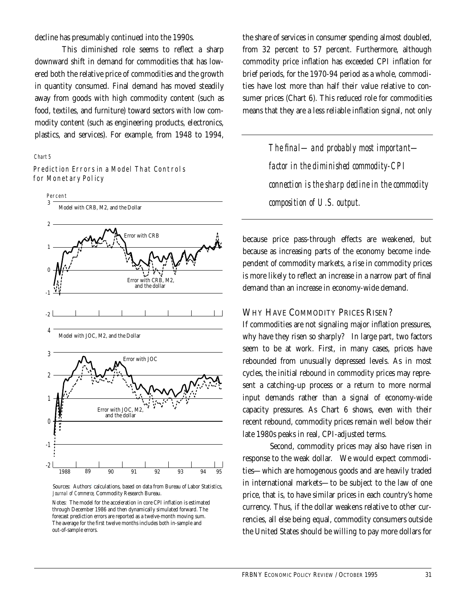decline has presumably continued into the 1990s.

This diminished role seems to reflect a sharp downward shift in demand for commodities that has lowered both the relative price of commodities and the growth in quantity consumed. Final demand has moved steadily away from goods with high commodity content (such as food, textiles, and furniture) toward sectors with low commodity content (such as engineering products, electronics, plastics, and services). For example, from 1948 to 1994,

#### *Chart 5*

-2



Prediction Errors in a Model That Controls for Monetary Policy

> Sources: Authors' calculations, based on data from Bureau of Labor Statistics, *Journal of Commerce,* Commodity Research Bureau.

1988 89 90 91 92 93 94 95

Notes: The model for the acceleration in core CPI inflation is estimated through December 1986 and then dynamically simulated forward. The forecast prediction errors are reported as a twelve-month moving sum. The average for the first twelve months includes both in-sample and out-of-sample errors.

the share of services in consumer spending almost doubled, from 32 percent to 57 percent. Furthermore, although commodity price inflation has exceeded CPI inflation for brief periods, for the 1970-94 period as a whole, commodities have lost more than half their value relative to consumer prices (Chart 6). This reduced role for commodities means that they are a less reliable inflation signal, not only

> *The final—and probably most important factor in the diminished commodity-CPI connection is the sharp decline in the commodity composition of U.S. output.*

because price pass-through effects are weakened, but because as increasing parts of the economy become independent of commodity markets, a rise in commodity prices is more likely to reflect an increase in a narrow part of final demand than an increase in economy-wide demand.

#### WHY HAVE COMMODITY PRICES RISEN?

If commodities are not signaling major inflation pressures, why have they risen so sharply? In large part, two factors seem to be at work. First, in many cases, prices have rebounded from unusually depressed levels. As in most cycles, the initial rebound in commodity prices may represent a catching-up process or a return to more normal input demands rather than a signal of economy-wide capacity pressures. As Chart 6 shows, even with their recent rebound, commodity prices remain well below their late 1980s peaks in real, CPI-adjusted terms.

Second, commodity prices may also have risen in response to the weak dollar. We would expect commodities—which are homogenous goods and are heavily traded in international markets—to be subject to the law of one price, that is, to have similar prices in each country's home currency. Thus, if the dollar weakens relative to other currencies, all else being equal, commodity consumers outside the United States should be willing to pay more dollars for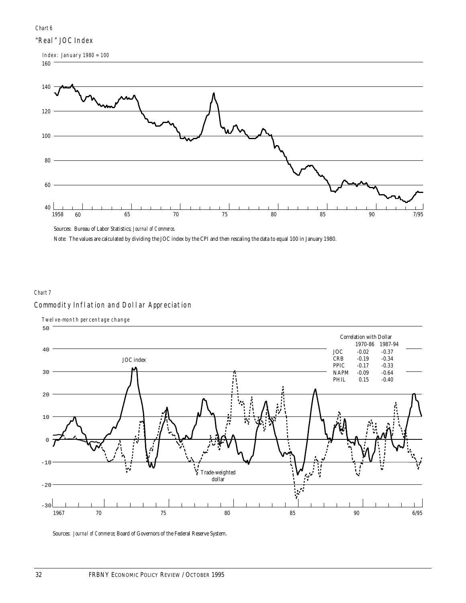#### *Chart 6*

#### "Real" JOC Index



Sources: Bureau of Labor Statistics; *Journal of Commerce*.

Note: The values are calculated by dividing the JOC index by the CPI and then rescaling the data to equal 100 in January 1980.

## Commodity Inflation and Dollar Appreciation *Chart 7*



Sources: *Journal of Commerce*; Board of Governors of the Federal Reserve System.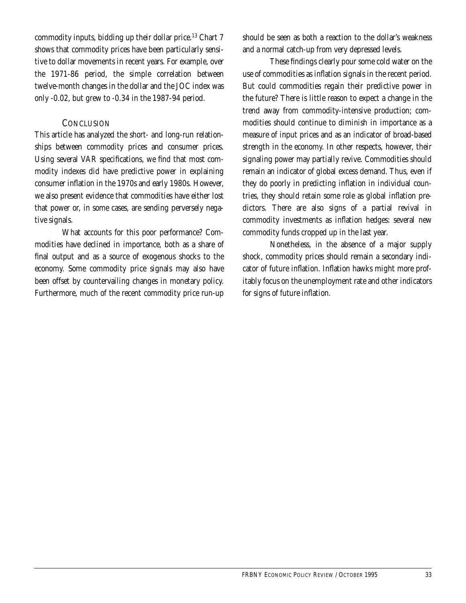commodity inputs, bidding up their dollar price.<sup>13</sup> Chart 7 shows that commodity prices have been particularly sensitive to dollar movements in recent years. For example, over the 1971-86 period, the simple correlation between twelve-month changes in the dollar and the JOC index was only -0.02, but grew to -0.34 in the 1987-94 period.

#### **CONCLUSION**

This article has analyzed the short- and long-run relationships between commodity prices and consumer prices. Using several VAR specifications, we find that most commodity indexes did have predictive power in explaining consumer inflation in the 1970s and early 1980s. However, we also present evidence that commodities have either lost that power or, in some cases, are sending perversely negative signals.

What accounts for this poor performance? Commodities have declined in importance, both as a share of final output and as a source of exogenous shocks to the economy. Some commodity price signals may also have been offset by countervailing changes in monetary policy. Furthermore, much of the recent commodity price run-up

should be seen as both a reaction to the dollar's weakness and a normal catch-up from very depressed levels.

These findings clearly pour some cold water on the use of commodities as inflation signals in the recent period. But could commodities regain their predictive power in the future? There is little reason to expect a change in the trend away from commodity-intensive production; commodities should continue to diminish in importance as a measure of input prices and as an indicator of broad-based strength in the economy. In other respects, however, their signaling power may partially revive. Commodities should remain an indicator of global excess demand. Thus, even if they do poorly in predicting inflation in individual countries, they should retain some role as global inflation predictors. There are also signs of a partial revival in commodity investments as inflation hedges: several new commodity funds cropped up in the last year.

Nonetheless, in the absence of a major supply shock, commodity prices should remain a secondary indicator of future inflation. Inflation hawks might more profitably focus on the unemployment rate and other indicators for signs of future inflation.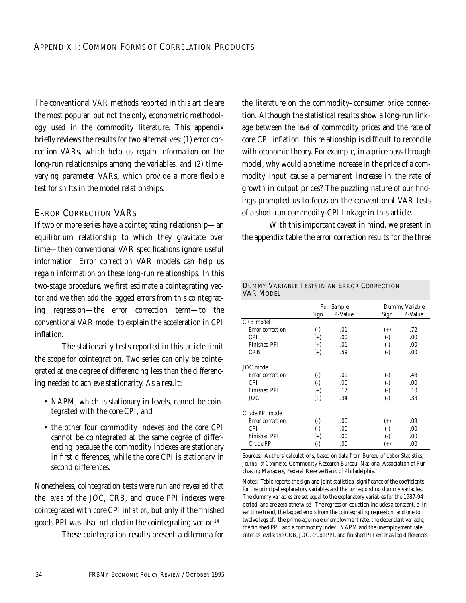The conventional VAR methods reported in this article are the most popular, but not the only, econometric methodology used in the commodity literature. This appendix briefly reviews the results for two alternatives: (1) error correction VARs, which help us regain information on the long-run relationships among the variables, and (2) timevarying parameter VARs, which provide a more flexible test for shifts in the model relationships.

### ERROR CORRECTION VARS

If two or more series have a cointegrating relationship—an equilibrium relationship to which they gravitate over time—then conventional VAR specifications ignore useful information. Error correction VAR models can help us regain information on these long-run relationships. In this two-stage procedure, we first estimate a cointegrating vector and we then add the lagged errors from this cointegrating regression—the error correction term—to the conventional VAR model to explain the acceleration in CPI inflation.

The stationarity tests reported in this article limit the scope for cointegration. Two series can only be cointegrated at one degree of differencing less than the differencing needed to achieve stationarity. As a result:

- NAPM, which is stationary in levels, cannot be cointegrated with the core CPI, and
- the other four commodity indexes and the core CPI cannot be cointegrated at the same degree of differencing because the commodity indexes are stationary in first differences, while the core CPI is stationary in second differences.

Nonetheless, cointegration tests were run and revealed that the *levels* of the JOC, CRB, and crude PPI indexes were cointegrated with core CPI *inflation*, but only if the finished goods PPI was also included in the cointegrating vector. 14

These cointegration results present a dilemma for

the literature on the commodity–consumer price connection. Although the statistical results show a long-run linkage between the *level* of commodity prices and the rate of core CPI inflation, this relationship is difficult to reconcile with economic theory. For example, in a price pass-through model, why would a onetime increase in the price of a commodity input cause a permanent increase in the rate of growth in output prices? The puzzling nature of our findings prompted us to focus on the conventional VAR tests of a short-run commodity-CPI linkage in this article.

With this important caveat in mind, we present in the appendix table the error correction results for the three

#### DUMMY VARIABLE TESTS IN AN ERROR CORRECTION VAR MODEL

|                     |              | <b>Full Sample</b> | Dummy Variable |         |  |
|---------------------|--------------|--------------------|----------------|---------|--|
|                     | Sign         | P-Value            | Sign           | P-Value |  |
| CRB model           |              |                    |                |         |  |
| Error correction    | $(\cdot)$    | .01                | $^{(+)}$       | .72     |  |
| <b>CPI</b>          | $^{(+)}$     | .00                | $(-)$          | .00     |  |
| <b>Finished PPI</b> | $(+)$        | .01                | $(\cdot)$      | .00     |  |
| <b>CRB</b>          | $(+)$        | .59                | $(\cdot)$      | .00     |  |
| JOC model           |              |                    |                |         |  |
| Error correction    | $(-)$        | .01                | $(\text{-})$   | .48     |  |
| <b>CPI</b>          | $(-)$        | .00                | $(-)$          | .00     |  |
| <b>Finished PPI</b> | $(+)$        | .17                | $(-)$          | .10     |  |
| JOC                 | $(+)$        | .34                | $(\cdot)$      | .33     |  |
| Crude PPI model     |              |                    |                |         |  |
| Error correction    | $(\cdot)$    | .00                | $^{(+)}$       | .09     |  |
| <b>CPI</b>          | $(\text{-})$ | .00                | $(\text{-})$   | .00     |  |
| <b>Finished PPI</b> | $^{(+)}$     | .00                | $(-)$          | .00     |  |
| Crude PPI           | $(\text{-})$ | .00                | $^{(+)}$       | .00     |  |

Sources: Authors' calculations, based on data from Bureau of Labor Statistics, *Journal of Commerce*, Commodity Research Bureau, National Association of Purchasing Managers, Federal Reserve Bank of Philadelphia.

Notes: Table reports the sign and joint statistical significance of the coefficients for the principal explanatory variables and the corresponding dummy variables. The dummy variables are set equal to the explanatory variables for the 1987-94 period, and are zero otherwise. The regression equation includes a constant, a linear time trend, the lagged errors from the cointegrating regression, and one to twelve lags of: the prime-age male unemployment rate, the dependent variable, the finished PPI, and a commodity index. NAPM and the unemployment rate enter as levels; the CRB, JOC, crude PPI, and finished PPI enter as log differences.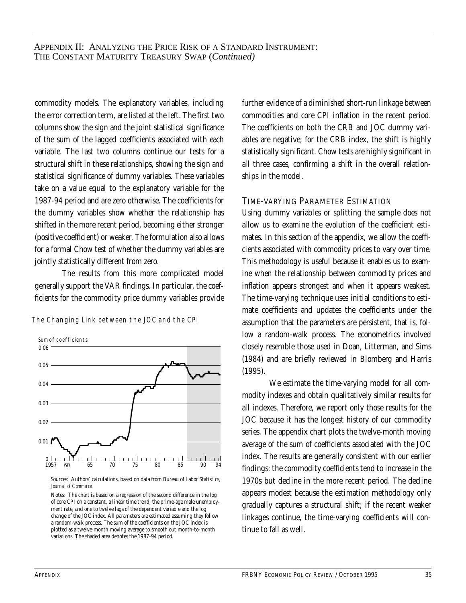commodity models. The explanatory variables, including the error correction term, are listed at the left. The first two columns show the sign and the joint statistical significance of the sum of the lagged coefficients associated with each variable. The last two columns continue our tests for a structural shift in these relationships, showing the sign and statistical significance of dummy variables. These variables take on a value equal to the explanatory variable for the 1987-94 period and are zero otherwise. The coefficients for the dummy variables show whether the relationship has shifted in the more recent period, becoming either stronger (positive coefficient) or weaker. The formulation also allows for a formal Chow test of whether the dummy variables are jointly statistically different from zero.

The results from this more complicated model generally support the VAR findings. In particular, the coefficients for the commodity price dummy variables provide

The Changing Link between the JOC and the CPI



Sources: Authors' calculations, based on data from Bureau of Labor Statistics, *Journal of Commerce*.

Notes: The chart is based on a regression of the second difference in the log of core CPI on a constant, a linear time trend, the prime-age male unemployment rate, and one to twelve lags of the dependent variable and the log change of the JOC index. All parameters are estimated assuming they follow a random-walk process. The sum of the coefficients on the JOC index is plotted as a twelve-month moving average to smooth out month-to-month variations. The shaded area denotes the 1987-94 period.

further evidence of a diminished short-run linkage between commodities and core CPI inflation in the recent period. The coefficients on both the CRB and JOC dummy variables are negative; for the CRB index, the shift is highly statistically significant. Chow tests are highly significant in all three cases, confirming a shift in the overall relationships in the model.

#### TIME-VARYING PARAMETER ESTIMATION

Using dummy variables or splitting the sample does not allow us to examine the evolution of the coefficient estimates. In this section of the appendix, we allow the coefficients associated with commodity prices to vary over time. This methodology is useful because it enables us to examine when the relationship between commodity prices and inflation appears strongest and when it appears weakest. The time-varying technique uses initial conditions to estimate coefficients and updates the coefficients under the assumption that the parameters are persistent, that is, follow a random-walk process. The econometrics involved closely resemble those used in Doan, Litterman, and Sims (1984) and are briefly reviewed in Blomberg and Harris (1995).

We estimate the time-varying model for all commodity indexes and obtain qualitatively similar results for all indexes. Therefore, we report only those results for the JOC because it has the longest history of our commodity series. The appendix chart plots the twelve-month moving average of the sum of coefficients associated with the JOC index. The results are generally consistent with our earlier findings: the commodity coefficients tend to increase in the 1970s but decline in the more recent period. The decline appears modest because the estimation methodology only gradually captures a structural shift; if the recent weaker linkages continue, the time-varying coefficients will continue to fall as well.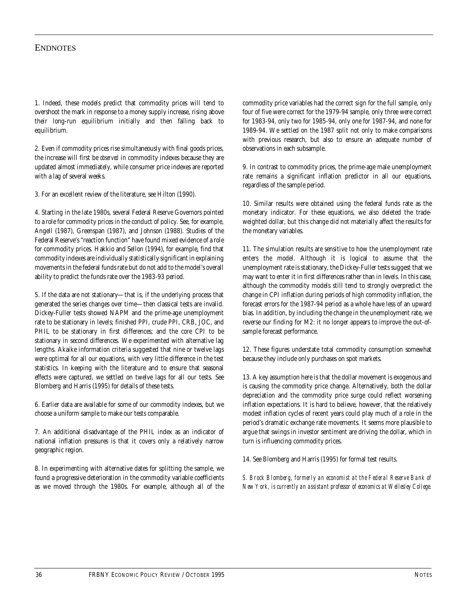#### **ENDNOTES**

1. Indeed, these models predict that commodity prices will tend to overshoot the mark in response to a money supply increase, rising above their long-run equilibrium initially and then falling back to equilibrium.

2. Even if commodity prices rise simultaneously with final goods prices, the increase will first be *observed* in commodity indexes because they are updated almost immediately, while consumer price indexes are reported with a lag of several weeks.

3. For an excellent review of the literature, see Hilton (1990).

4. Starting in the late 1980s, several Federal Reserve Governors pointed to a role for commodity prices in the conduct of policy. See, for example, Angell (1987), Greenspan (1987), and Johnson (1988). Studies of the Federal Reserve's "reaction function" have found mixed evidence of a role for commodity prices. Hakkio and Sellon (1994), for example, find that commodity indexes are individually statistically significant in explaining movements in the federal funds rate but do not add to the model's overall ability to predict the funds rate over the 1983-93 period.

5. If the data are not stationary—that is, if the underlying process that generated the series changes over time—then classical tests are invalid. Dickey-Fuller tests showed NAPM and the prime-age unemployment rate to be stationary in levels; finished PPI, crude PPI, CRB, JOC, and PHIL to be stationary in first differences; and the core CPI to be stationary in second differences. We experimented with alternative lag lengths. Akaike information criteria suggested that nine or twelve lags were optimal for all our equations, with very little difference in the test statistics. In keeping with the literature and to ensure that seasonal effects were captured, we settled on twelve lags for all our tests. See Blomberg and Harris (1995) for details of these tests.

6. Earlier data are available for some of our commodity indexes, but we choose a uniform sample to make our tests comparable.

7. An additional disadvantage of the PHIL index as an indicator of national inflation pressures is that it covers only a relatively narrow geographic region.

8. In experimenting with alternative dates for splitting the sample, we found a progressive deterioration in the commodity variable coefficients as we moved through the 1980s. For example, although all of the

commodity price variables had the correct sign for the full sample, only four of five were correct for the 1979-94 sample, only three were correct for 1983-94, only two for 1985-94, only one for 1987-94, and none for 1989-94. We settled on the 1987 split not only to make comparisons with previous research, but also to ensure an adequate number of observations in each subsample.

9. In contrast to commodity prices, the prime-age male unemployment rate remains a significant inflation predictor in all our equations, regardless of the sample period.

10. Similar results were obtained using the federal funds rate as the monetary indicator. For these equations, we also deleted the tradeweighted dollar, but this change did not materially affect the results for the monetary variables.

11. The simulation results are sensitive to how the unemployment rate enters the model. Although it is logical to assume that the unemployment rate is stationary, the Dickey-Fuller tests suggest that we may want to enter it in first differences rather than in levels. In this case, although the commodity models still tend to strongly overpredict the change in CPI inflation during periods of high commodity inflation, the forecast errors for the 1987-94 period as a whole have less of an upward bias. In addition, by including the change in the unemployment rate, we reverse our finding for M2: it no longer appears to improve the out-ofsample forecast performance.

12. These figures understate total commodity consumption somewhat because they include only purchases on spot markets.

13. A key assumption here is that the dollar movement is exogenous and is causing the commodity price change. Alternatively, both the dollar depreciation and the commodity price surge could reflect worsening inflation expectations. It is hard to believe, however, that the relatively modest inflation cycles of recent years could play much of a role in the period's dramatic exchange rate movements. It seems more plausible to argue that swings in investor sentiment are driving the dollar, which in turn is influencing commodity prices.

14. See Blomberg and Harris (1995) for formal test results.

*S. Brock Blomberg, formerly an economist at the Federal Reserve Bank of New York, is currently an assistant professor of economics at Wellesley College.*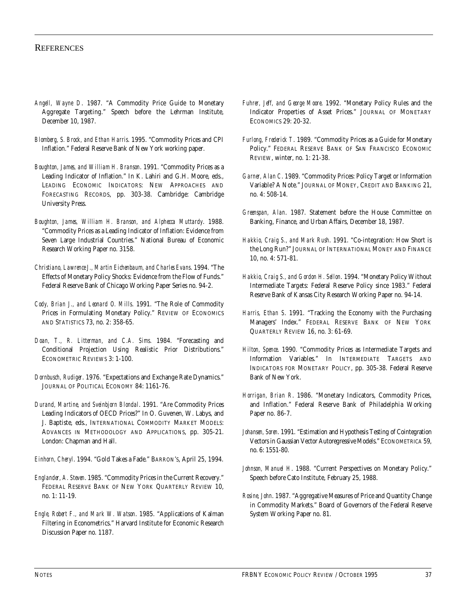#### **REFERENCES**

- *Angell, Wayne D*. 1987. "A Commodity Price Guide to Monetary Aggregate Targeting." Speech before the Lehrman Institute, December 10, 1987.
- *Blomberg, S. Brock, and Ethan Harris*. 1995. "Commodity Prices and CPI Inflation." Federal Reserve Bank of New York working paper.
- *Boughton, James, and William H. Branson*. 1991. "Commodity Prices as a Leading Indicator of Inflation." In K. Lahiri and G.H. Moore, eds., LEADING ECONOMIC INDICATORS: NEW APPROACHES AND FORECASTING RECORDS, pp. 303-38. Cambridge: Cambridge University Press.
- *Boughton, James, William H. Branson, and Alphecca Muttardy*. 1988. "Commodity Prices as a Leading Indicator of Inflation: Evidence from Seven Large Industrial Countries." National Bureau of Economic Research Working Paper no. 3158.
- *Christiano, Lawrence J., Martin Eichenbaum, and Charles Evans*. 1994. "The Effects of Monetary Policy Shocks: Evidence from the Flow of Funds." Federal Reserve Bank of Chicago Working Paper Series no. 94-2.
- *Cody, Brian J., and Leonard O. Mills*. 1991. "The Role of Commodity Prices in Formulating Monetary Policy." REVIEW OF ECONOMICS AND STATISTICS 73, no. 2: 358-65.
- *Doan, T., R. Litterman, and C.A. Sims*. 1984. "Forecasting and Conditional Projection Using Realistic Prior Distributions." ECONOMETRIC REVIEWS 3: 1-100.
- *Dornbusch, Rudiger*. 1976. "Expectations and Exchange Rate Dynamics." JOURNAL OF POLITICAL ECONOMY 84: 1161-76.
- *Durand, Martine, and Sveinbjorn Blondal*. 1991. "Are Commodity Prices Leading Indicators of OECD Prices?" In O. Guvenen, W. Labys, and J. Baptiste, eds., INTERNATIONAL COMMODITY MARKET MODELS: ADVANCES IN METHODOLOGY AND APPLICATIONS, pp. 305-21. London: Chapman and Hall.
- *Einhorn, Cheryl*. 1994. "Gold Takes a Fade." BARRON'S, April 25, 1994.
- *Englander, A. Steven*. 1985. "Commodity Prices in the Current Recovery." FEDERAL RESERVE BANK OF NEW YORK QUARTERLY REVIEW 10, no. 1: 11-19.
- *Engle, Robert F., and Mark W. Watson*. 1985. "Applications of Kalman Filtering in Econometrics." Harvard Institute for Economic Research Discussion Paper no. 1187.
- *Fuhrer, Jeff, and George Moore*. 1992. "Monetary Policy Rules and the Indicator Properties of Asset Prices." JOURNAL OF MONETARY ECONOMICS 29: 20-32.
- *Furlong, Frederick T*. 1989. "Commodity Prices as a Guide for Monetary Policy." FEDERAL RESERVE BANK OF SAN FRANCISCO ECONOMIC REVIEW, winter, no. 1: 21-38.
- *Garner, Alan C*. 1989. "Commodity Prices: Policy Target or Information Variable? A Note." JOURNAL OF MONEY, CREDIT AND BANKING 21, no. 4: 508-14.
- *Greenspan, Alan*. 1987. Statement before the House Committee on Banking, Finance, and Urban Affairs, December 18, 1987.
- *Hakkio, Craig S., and Mark Rush*. 1991. "Co-integration: How Short is the Long Run?" JOURNAL OF INTERNATIONAL MONEY AND FINANCE 10, no. 4: 571-81.
- *Hakkio, Craig S., and Gordon H. Sellon*. 1994. "Monetary Policy Without Intermediate Targets: Federal Reserve Policy since 1983." Federal Reserve Bank of Kansas City Research Working Paper no. 94-14.
- *Harris, Ethan S*. 1991. "Tracking the Economy with the Purchasing Managers' Index." FEDERAL RESERVE BANK OF NEW YORK QUARTERLY REVIEW 16, no. 3: 61-69.
- *Hilton, Spence*. 1990. "Commodity Prices as Intermediate Targets and Information Variables." In INTERMEDIATE TARGETS AND INDICATORS FOR MONETARY POLICY, pp. 305-38. Federal Reserve Bank of New York.
- *Horrigan, Brian R*. 1986. "Monetary Indicators, Commodity Prices, and Inflation." Federal Reserve Bank of Philadelphia Working Paper no. 86-7.
- *Johansen, Soren*. 1991. "Estimation and Hypothesis Testing of Cointegration Vectors in Gaussian Vector Autoregressive Models." ECONOMETRICA 59, no. 6: 1551-80.
- *Johnson, Manuel H*. 1988. "Current Perspectives on Monetary Policy." Speech before Cato Institute, February 25, 1988.
- *Rosine, John*. 1987. "Aggregative Measures of Price and Quantity Change in Commodity Markets." Board of Governors of the Federal Reserve System Working Paper no. 81.